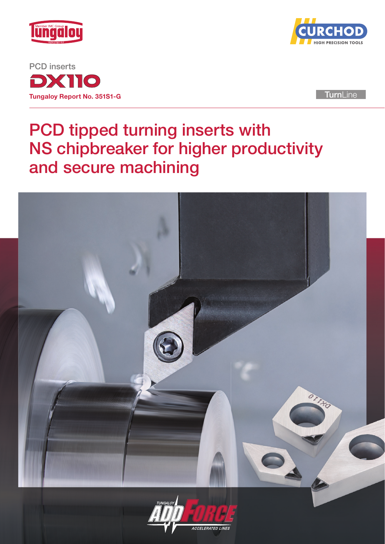

DX110 Tungaloy Report No. 351S1-G PCD inserts



**TurnLine** 

## PCD tipped turning inserts with NS chipbreaker for higher productivity and secure machining

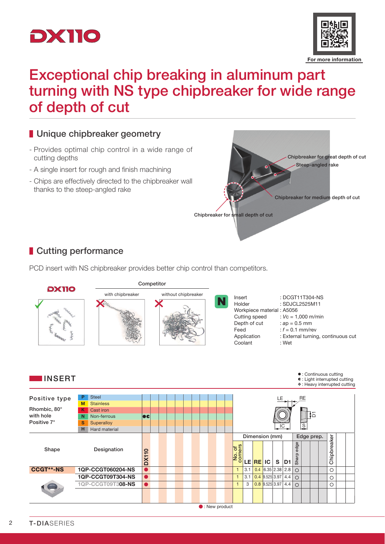



## Exceptional chip breaking in aluminum part turning with NS type chipbreaker for wide range of depth of cut



PCD insert with NS chipbreaker provides better chip control than competitors.



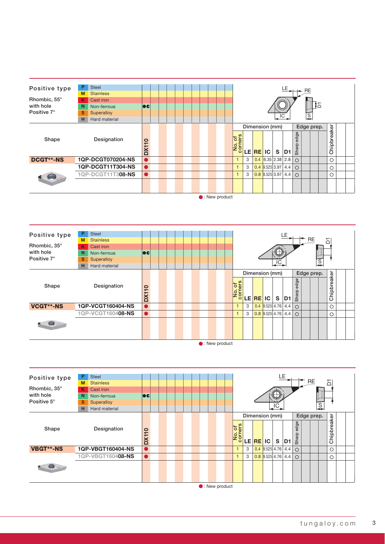| Positive type<br>Rhombic, 55°<br>with hole<br>Positive 7° | P<br>M<br>K<br>N<br>S<br>н | <b>Steel</b><br><b>Stainless</b><br>Cast iron<br>Non-ferrous<br>Superalloy<br>Hard material | ecl                   |  |  |  |  |  |        |   |         |                      | $LE$ <sub>&gt;++</sub> $RE$<br>IC |               | $\overline{s}$ | ੀ⇔ |                      |  |
|-----------------------------------------------------------|----------------------------|---------------------------------------------------------------------------------------------|-----------------------|--|--|--|--|--|--------|---|---------|----------------------|-----------------------------------|---------------|----------------|----|----------------------|--|
| Shape                                                     |                            | Designation                                                                                 | $\overline{a}$<br>DX1 |  |  |  |  |  | No. of |   | LE REIC | Dimension (mm)<br>S. | D <sub>1</sub>                    | edge<br>Sharp | Edge prep.     |    | breaker<br>lain<br>ပ |  |
| <b>DCGT**-NS</b>                                          |                            | 1QP-DCGT070204-NS                                                                           |                       |  |  |  |  |  |        | 3 |         | $0.4$ 6.35 2.38 2.8  |                                   | $\bigcap$     |                |    | Ω                    |  |
|                                                           |                            | 1QP-DCGT11T304-NS                                                                           |                       |  |  |  |  |  |        | 3 |         | $0.4$ 9.525 3.97 4.4 |                                   | $\bigcirc$    |                |    | $\circ$              |  |
|                                                           |                            | 1QP-DCGT11T308-NS                                                                           | $\bullet$             |  |  |  |  |  |        | 3 |         | $0.8$ 9.525 3.97 4.4 |                                   | $\bigcirc$    |                |    | $\bigcirc$           |  |
|                                                           |                            |                                                                                             |                       |  |  |  |  |  |        |   |         |                      |                                   |               |                |    |                      |  |

 $\bullet$ : New product





 $\bullet$ : New product